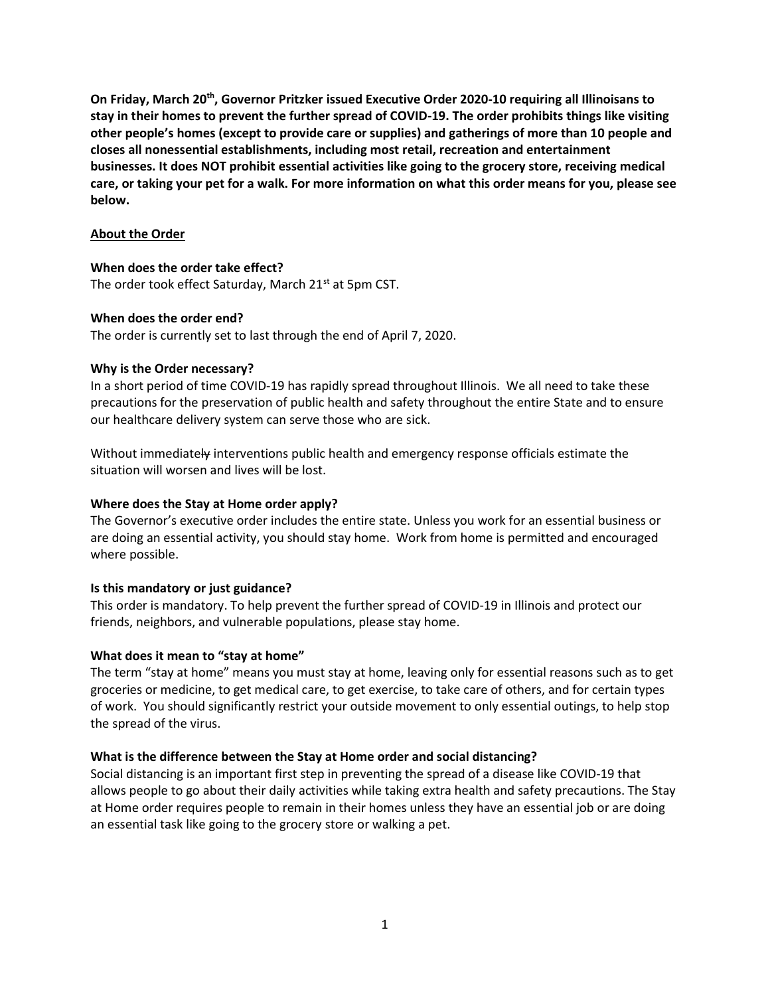On Friday, March 20th, Governor Pritzker issued Executive Order 2020-10 requiring all Illinoisans to stay in their homes to prevent the further spread of COVID-19. The order prohibits things like visiting other people's homes (except to provide care or supplies) and gatherings of more than 10 people and closes all nonessential establishments, including most retail, recreation and entertainment businesses. It does NOT prohibit essential activities like going to the grocery store, receiving medical care, or taking your pet for a walk. For more information on what this order means for you, please see below.

### About the Order

### When does the order take effect?

The order took effect Saturday, March 21<sup>st</sup> at 5pm CST.

### When does the order end?

The order is currently set to last through the end of April 7, 2020.

### Why is the Order necessary?

In a short period of time COVID-19 has rapidly spread throughout Illinois. We all need to take these precautions for the preservation of public health and safety throughout the entire State and to ensure our healthcare delivery system can serve those who are sick.

Without immediately interventions public health and emergency response officials estimate the situation will worsen and lives will be lost.

### Where does the Stay at Home order apply?

The Governor's executive order includes the entire state. Unless you work for an essential business or are doing an essential activity, you should stay home. Work from home is permitted and encouraged where possible.

#### Is this mandatory or just guidance?

This order is mandatory. To help prevent the further spread of COVID-19 in Illinois and protect our friends, neighbors, and vulnerable populations, please stay home.

## What does it mean to "stay at home"

The term "stay at home" means you must stay at home, leaving only for essential reasons such as to get groceries or medicine, to get medical care, to get exercise, to take care of others, and for certain types of work. You should significantly restrict your outside movement to only essential outings, to help stop the spread of the virus.

## What is the difference between the Stay at Home order and social distancing?

Social distancing is an important first step in preventing the spread of a disease like COVID-19 that allows people to go about their daily activities while taking extra health and safety precautions. The Stay at Home order requires people to remain in their homes unless they have an essential job or are doing an essential task like going to the grocery store or walking a pet.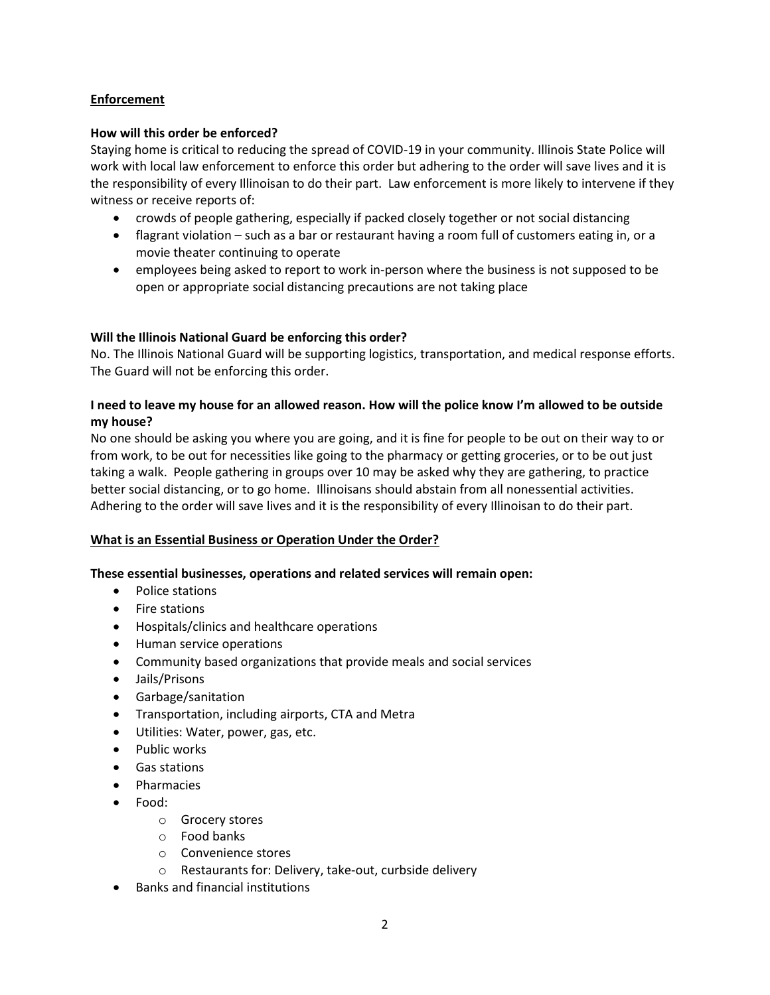# Enforcement

## How will this order be enforced?

Staying home is critical to reducing the spread of COVID-19 in your community. Illinois State Police will work with local law enforcement to enforce this order but adhering to the order will save lives and it is the responsibility of every Illinoisan to do their part. Law enforcement is more likely to intervene if they witness or receive reports of:

- crowds of people gathering, especially if packed closely together or not social distancing
- flagrant violation such as a bar or restaurant having a room full of customers eating in, or a movie theater continuing to operate
- employees being asked to report to work in-person where the business is not supposed to be open or appropriate social distancing precautions are not taking place

## Will the Illinois National Guard be enforcing this order?

No. The Illinois National Guard will be supporting logistics, transportation, and medical response efforts. The Guard will not be enforcing this order.

# I need to leave my house for an allowed reason. How will the police know I'm allowed to be outside my house?

No one should be asking you where you are going, and it is fine for people to be out on their way to or from work, to be out for necessities like going to the pharmacy or getting groceries, or to be out just taking a walk. People gathering in groups over 10 may be asked why they are gathering, to practice better social distancing, or to go home. Illinoisans should abstain from all nonessential activities. Adhering to the order will save lives and it is the responsibility of every Illinoisan to do their part.

## What is an Essential Business or Operation Under the Order?

## These essential businesses, operations and related services will remain open:

- Police stations
- Fire stations
- Hospitals/clinics and healthcare operations
- Human service operations
- Community based organizations that provide meals and social services
- Jails/Prisons
- Garbage/sanitation
- Transportation, including airports, CTA and Metra
- Utilities: Water, power, gas, etc.
- Public works
- Gas stations
- Pharmacies
- Food:
	- o Grocery stores
	- o Food banks
	- o Convenience stores
	- o Restaurants for: Delivery, take-out, curbside delivery
- Banks and financial institutions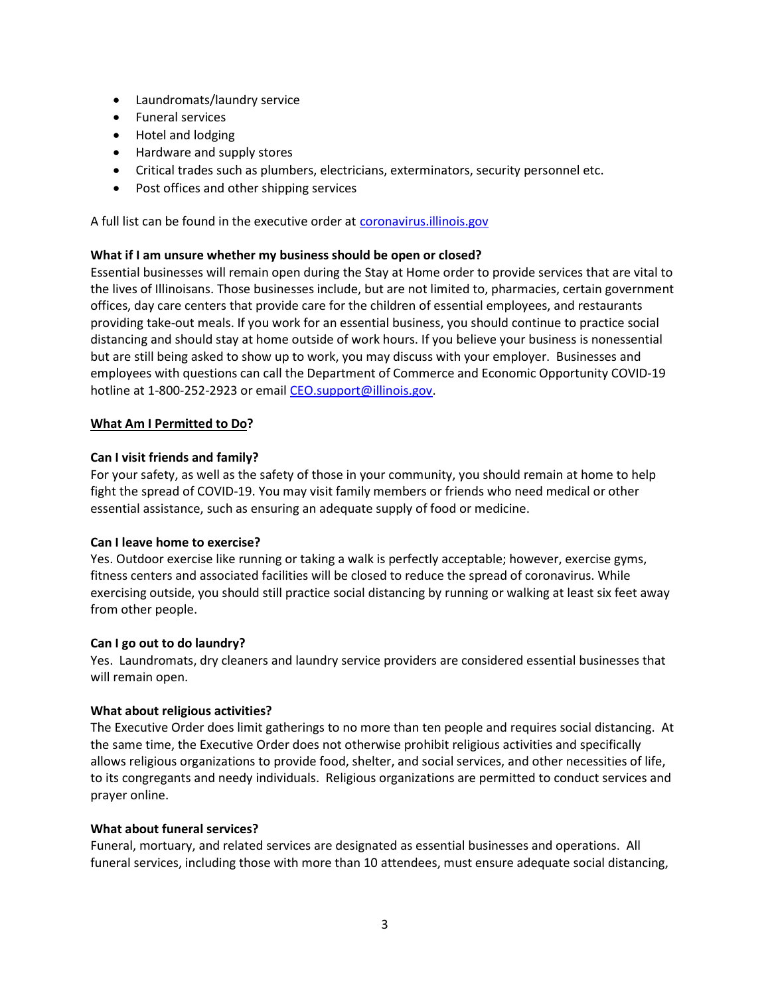- Laundromats/laundry service
- **•** Funeral services
- Hotel and lodging
- Hardware and supply stores
- Critical trades such as plumbers, electricians, exterminators, security personnel etc.
- Post offices and other shipping services

A full list can be found in the executive order at **coronavirus.illinois.gov** 

### What if I am unsure whether my business should be open or closed?

Essential businesses will remain open during the Stay at Home order to provide services that are vital to the lives of Illinoisans. Those businesses include, but are not limited to, pharmacies, certain government offices, day care centers that provide care for the children of essential employees, and restaurants providing take-out meals. If you work for an essential business, you should continue to practice social distancing and should stay at home outside of work hours. If you believe your business is nonessential but are still being asked to show up to work, you may discuss with your employer. Businesses and employees with questions can call the Department of Commerce and Economic Opportunity COVID-19 hotline at 1-800-252-2923 or email CEO.support@illinois.gov.

### What Am I Permitted to Do?

### Can I visit friends and family?

For your safety, as well as the safety of those in your community, you should remain at home to help fight the spread of COVID-19. You may visit family members or friends who need medical or other essential assistance, such as ensuring an adequate supply of food or medicine.

#### Can I leave home to exercise?

Yes. Outdoor exercise like running or taking a walk is perfectly acceptable; however, exercise gyms, fitness centers and associated facilities will be closed to reduce the spread of coronavirus. While exercising outside, you should still practice social distancing by running or walking at least six feet away from other people.

#### Can I go out to do laundry?

Yes. Laundromats, dry cleaners and laundry service providers are considered essential businesses that will remain open.

#### What about religious activities?

The Executive Order does limit gatherings to no more than ten people and requires social distancing. At the same time, the Executive Order does not otherwise prohibit religious activities and specifically allows religious organizations to provide food, shelter, and social services, and other necessities of life, to its congregants and needy individuals. Religious organizations are permitted to conduct services and prayer online.

# What about funeral services?

Funeral, mortuary, and related services are designated as essential businesses and operations. All funeral services, including those with more than 10 attendees, must ensure adequate social distancing,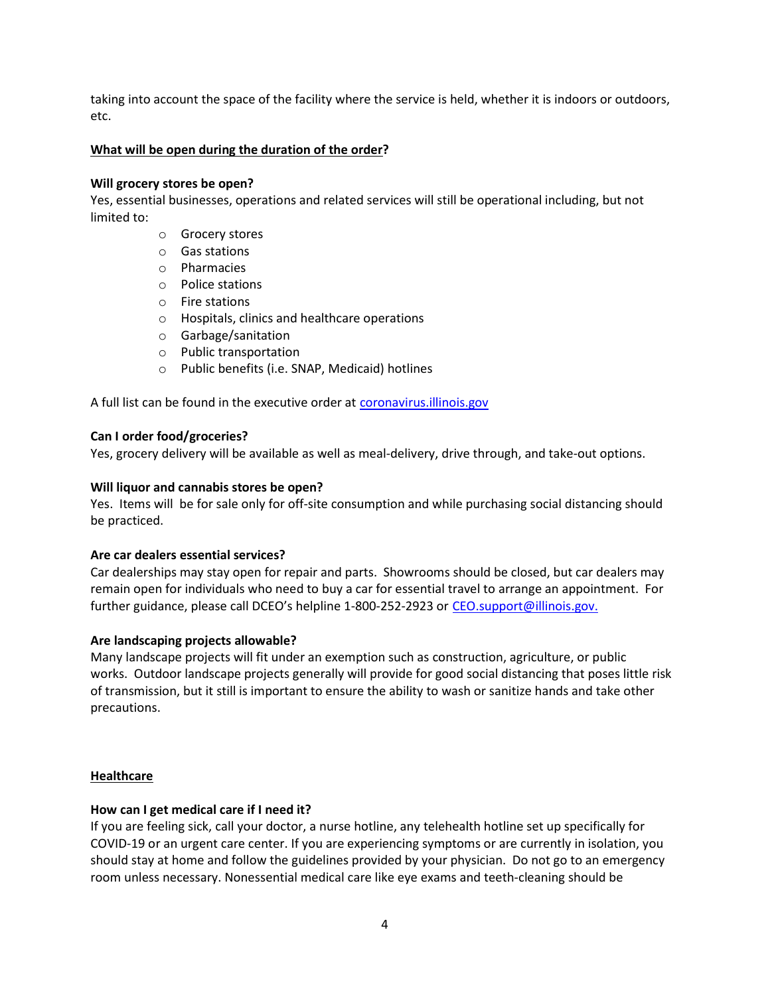taking into account the space of the facility where the service is held, whether it is indoors or outdoors, etc.

## What will be open during the duration of the order?

### Will grocery stores be open?

Yes, essential businesses, operations and related services will still be operational including, but not limited to:

- o Grocery stores
- o Gas stations
- o Pharmacies
- o Police stations
- o Fire stations
- o Hospitals, clinics and healthcare operations
- o Garbage/sanitation
- o Public transportation
- o Public benefits (i.e. SNAP, Medicaid) hotlines

A full list can be found in the executive order at coronavirus.illinois.gov

### Can I order food/groceries?

Yes, grocery delivery will be available as well as meal-delivery, drive through, and take-out options.

### Will liquor and cannabis stores be open?

Yes. Items will be for sale only for off-site consumption and while purchasing social distancing should be practiced.

#### Are car dealers essential services?

Car dealerships may stay open for repair and parts. Showrooms should be closed, but car dealers may remain open for individuals who need to buy a car for essential travel to arrange an appointment. For further guidance, please call DCEO's helpline 1-800-252-2923 or CEO.support@illinois.gov.

## Are landscaping projects allowable?

Many landscape projects will fit under an exemption such as construction, agriculture, or public works. Outdoor landscape projects generally will provide for good social distancing that poses little risk of transmission, but it still is important to ensure the ability to wash or sanitize hands and take other precautions.

#### **Healthcare**

## How can I get medical care if I need it?

If you are feeling sick, call your doctor, a nurse hotline, any telehealth hotline set up specifically for COVID-19 or an urgent care center. If you are experiencing symptoms or are currently in isolation, you should stay at home and follow the guidelines provided by your physician. Do not go to an emergency room unless necessary. Nonessential medical care like eye exams and teeth-cleaning should be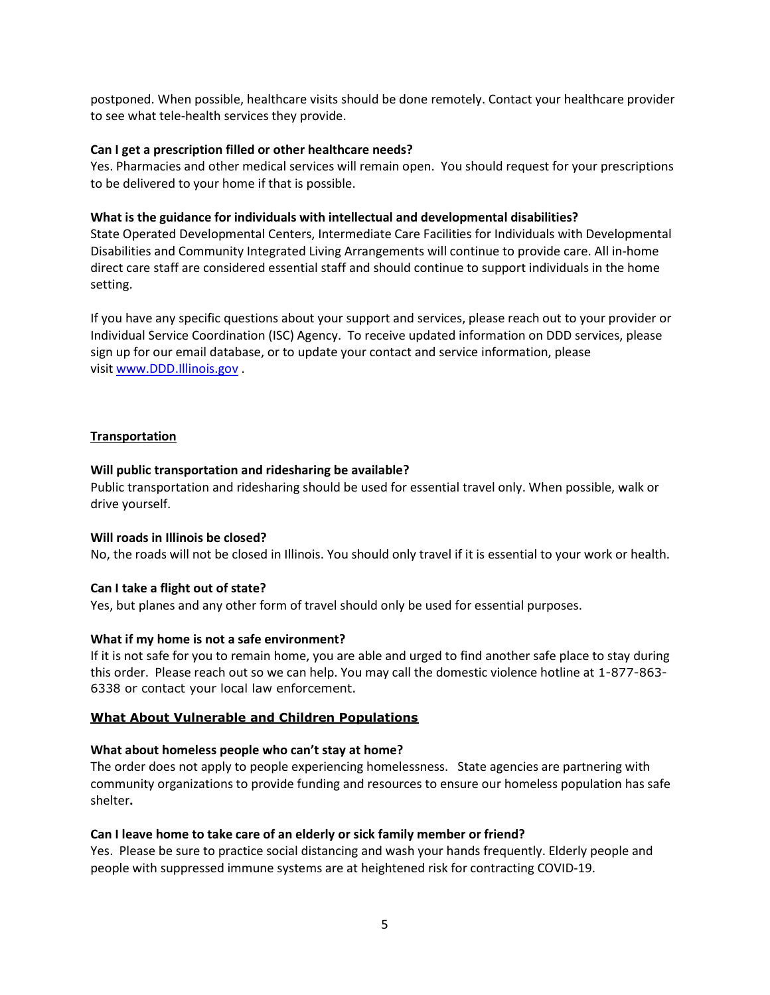postponed. When possible, healthcare visits should be done remotely. Contact your healthcare provider to see what tele-health services they provide.

### Can I get a prescription filled or other healthcare needs?

Yes. Pharmacies and other medical services will remain open. You should request for your prescriptions to be delivered to your home if that is possible.

## What is the guidance for individuals with intellectual and developmental disabilities?

State Operated Developmental Centers, Intermediate Care Facilities for Individuals with Developmental Disabilities and Community Integrated Living Arrangements will continue to provide care. All in-home direct care staff are considered essential staff and should continue to support individuals in the home setting.

If you have any specific questions about your support and services, please reach out to your provider or Individual Service Coordination (ISC) Agency. To receive updated information on DDD services, please sign up for our email database, or to update your contact and service information, please visit www.DDD.Illinois.gov .

## Transportation

## Will public transportation and ridesharing be available?

Public transportation and ridesharing should be used for essential travel only. When possible, walk or drive yourself.

## Will roads in Illinois be closed?

No, the roads will not be closed in Illinois. You should only travel if it is essential to your work or health.

## Can I take a flight out of state?

Yes, but planes and any other form of travel should only be used for essential purposes.

## What if my home is not a safe environment?

If it is not safe for you to remain home, you are able and urged to find another safe place to stay during this order. Please reach out so we can help. You may call the domestic violence hotline at 1-877-863- 6338 or contact your local law enforcement.

## What About Vulnerable and Children Populations

## What about homeless people who can't stay at home?

The order does not apply to people experiencing homelessness. State agencies are partnering with community organizations to provide funding and resources to ensure our homeless population has safe shelter.

## Can I leave home to take care of an elderly or sick family member or friend?

Yes. Please be sure to practice social distancing and wash your hands frequently. Elderly people and people with suppressed immune systems are at heightened risk for contracting COVID-19.